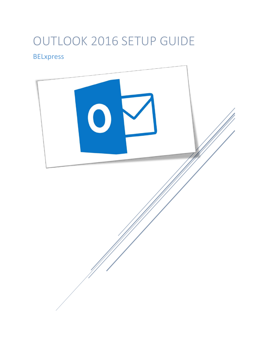# OUTLOOK 2016 SETUP GUIDE

# BELxpress

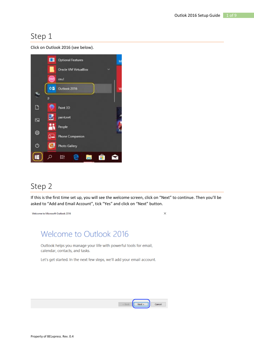Click on Outlook 2016 (see below).



### Step 2

If this is the first time set up, you will see the welcome screen, click on "Next" to continue. Then you'll be asked to "Add and Email Account", tick "Yes" and click on "Next" button.

 $\times$ 

Welcome to Microsoft Outlook 2016

# Welcome to Outlook 2016

Outlook helps you manage your life with powerful tools for email, calendar, contacts, and tasks.

Let's get started. In the next few steps, we'll add your email account.

| Next. | ancel |
|-------|-------|
|       |       |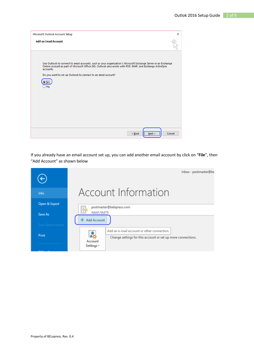| Microsoft Outlook Account Setup                                                                                                                                                                                                           | ×      |
|-------------------------------------------------------------------------------------------------------------------------------------------------------------------------------------------------------------------------------------------|--------|
| <b>Add an Email Account</b>                                                                                                                                                                                                               |        |
| Use Outlook to connect to email accounts, such as your organization's Microsoft Exchange Server or an Exchange<br>Online account as part of Microsoft Office 365. Outlook also works with POP, IMAP, and Exchange ActiveSync<br>accounts. |        |
| Do you want to set up Outlook to connect to an email account?<br>Νo                                                                                                                                                                       |        |
|                                                                                                                                                                                                                                           |        |
|                                                                                                                                                                                                                                           |        |
| < Back<br>Next >                                                                                                                                                                                                                          | Cancel |

If you already have an email account set up, you can add another email account by click on "**File**", then "Add Account" as shown below

|                  | Inbox - postmaster@be                                                                                                 |
|------------------|-----------------------------------------------------------------------------------------------------------------------|
| Info             | Account Information                                                                                                   |
| Open & Export    | postmaster@belxpress.com<br>E,<br>₹                                                                                   |
| Save As          | IMAP/SMTP<br>Add Account                                                                                              |
| Save Attachments |                                                                                                                       |
| Print            | Add an e-mail account or other connection.<br>Change settings for this account or set up more connections.<br>Account |
|                  | Settings -                                                                                                            |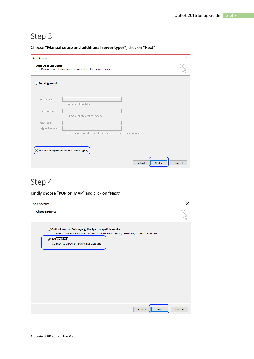|  | Choose "Manual setup and additional server types", click on "Next" |  |  |
|--|--------------------------------------------------------------------|--|--|
|  |                                                                    |  |  |

| <b>Add Account</b>                              |                                                                 | $\times$       |
|-------------------------------------------------|-----------------------------------------------------------------|----------------|
| <b>Auto Account Setup</b>                       | Manual setup of an account or connect to other server types.    |                |
| E-mail Account                                  |                                                                 |                |
| Your Name:                                      | Example: Ellen Adams                                            |                |
| E-mail Address:                                 | Example: ellen@contoso.com                                      |                |
| Password:<br>Retype Password:                   |                                                                 |                |
|                                                 | Type the password your Internet service provider has given you. |                |
| <b>IManual setup or additional server types</b> |                                                                 |                |
|                                                 | $\leq$ Back                                                     | Next<br>Cancel |

## Step 4

#### Kindly choose "**POP or IMAP**" and click on "Next"

| <b>Add Account</b>                                                                                                                                  | ×      |
|-----------------------------------------------------------------------------------------------------------------------------------------------------|--------|
| <b>Choose Service</b>                                                                                                                               |        |
| O Outlook.com or Exchange ActiveSync compatible service<br>Connect to a service such as Outlook.com to access email, calendars, contacts, and tasks |        |
| <b>O POP or IMAP</b><br>Connect to a POP or IMAP email account                                                                                      |        |
|                                                                                                                                                     |        |
|                                                                                                                                                     |        |
|                                                                                                                                                     |        |
|                                                                                                                                                     |        |
| Next<br>$\leq$ Back                                                                                                                                 | Cancel |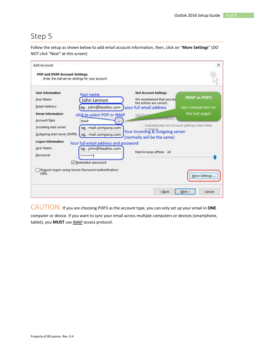Follow the setup as shown below to add email account information, then, click on "**More Settings**" (*DO NOT click "Next" at this screen*)

| Add Account<br><b>POP and IMAP Account Settings</b>                                                                             | Enter the mail server settings for your account.                                                                                     |                                                                                                                                        | ×                                        |
|---------------------------------------------------------------------------------------------------------------------------------|--------------------------------------------------------------------------------------------------------------------------------------|----------------------------------------------------------------------------------------------------------------------------------------|------------------------------------------|
| <b>User Information</b><br>Your Name:<br><b>Email Address:</b>                                                                  | Your name<br>John Lennon                                                                                                             | <b>Test Account Settings</b><br>We recommend that you tes<br>the entries are correct.<br>eg.: john@beatles.com your full email address | <b>IMAP vs POP3</b><br>See comparison on |
| <b>Server Information</b><br>Account Type:<br>Incoming mail server:<br>Outgoing mail server (SMTP):<br><b>Logon Information</b> | click to select POP or IMAP<br><b>IMAP</b><br>eg.: mail.company.com<br>eg.: mail.company.com<br>Your full email address and password | $\vee$ Automatically test account settings when Next<br>Your Incoming & Outgoing server<br>(normally will be the same)                 | the last page!                           |
| User Name:<br>Password:                                                                                                         | eg.: john@beatles.com<br>*********<br>Remember password<br>Require logon using Secure Password Authentication                        | Mail to keep offline: All                                                                                                              |                                          |
| (SPA)                                                                                                                           |                                                                                                                                      | < Back                                                                                                                                 | More Settings<br>Next ><br>Cancel        |

CAUTION: If you are choosing POP3 as the account type, you can only set up your email in **ONE**

computer or device. If you want to sync your email across multiple computers or devices (smartphone, tablet), you **MUST** use IMAP access protocol.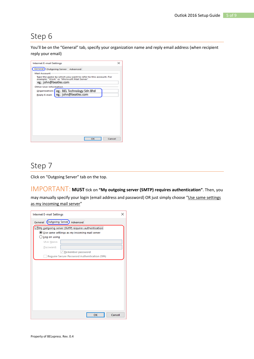You'll be on the "General" tab, specify your organization name and reply email address (when recipient reply your email)

| <b>Internet E-mail Settings</b>                                                                             | × |
|-------------------------------------------------------------------------------------------------------------|---|
| General Outgoing Server Advanced                                                                            |   |
| Mail Account                                                                                                |   |
| Type the name by which you want to refer to this account. For<br>example: "Work" or "Microsoft Mail Server" |   |
| eg.: john@beatles.com                                                                                       |   |
| Other User Information                                                                                      |   |
| Organization:   eg.: BEL Technology Sdn Bhd                                                                 |   |
| eg.: john@beatles.com<br><b>Reply E-mail:</b>                                                               |   |
|                                                                                                             |   |
|                                                                                                             |   |
|                                                                                                             |   |
|                                                                                                             |   |
|                                                                                                             |   |
|                                                                                                             |   |
|                                                                                                             |   |
|                                                                                                             |   |
|                                                                                                             |   |
|                                                                                                             |   |
| Cancel<br>OK                                                                                                |   |

#### Step 7

Click on "Outgoing Server" tab on the top.

IMPORTANT: **MUST** tick on **"My outgoing server (SMTP) requires authentication"**. Then, you

may manually specify your login (email address and password) OR just simply choose "Use same settings as my incoming mail server"

| Internet E-mail Settings                          | ×      |
|---------------------------------------------------|--------|
| General Outgoing Server) Advanced                 |        |
| My outgoing server (SMTP) requires authentication |        |
| Use same settings as my incoming mail server      |        |
| ◯ Log on using                                    |        |
| User Name:                                        |        |
| Password:                                         |        |
| Remember password                                 |        |
| Require Secure Password Authentication (SPA)      |        |
|                                                   |        |
|                                                   |        |
|                                                   |        |
|                                                   |        |
|                                                   |        |
|                                                   |        |
|                                                   |        |
|                                                   |        |
|                                                   |        |
|                                                   |        |
|                                                   |        |
| OK                                                | Cancel |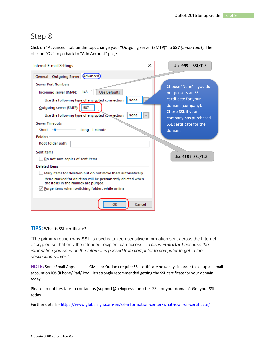Click on "Advanced" tab on the top, change your "Outgoing server (SMTP)" to **587** *(Important!).* Then click on "OK" to go back to "Add Account" page

| <b>Internet E-mail Settings</b>                                                                                                                                                                  | $\times$<br>Use 993 if SSL/TLS                                                                                                |
|--------------------------------------------------------------------------------------------------------------------------------------------------------------------------------------------------|-------------------------------------------------------------------------------------------------------------------------------|
| General Outgoing Server Advanced                                                                                                                                                                 |                                                                                                                               |
| <b>Server Port Numbers</b><br>143<br>Use Defaults<br>Incoming server (IMAP):                                                                                                                     | Choose 'None' if you do<br>not possess an SSL                                                                                 |
| None<br>Use the following type of encrypted connection:<br>587<br>Outgoing server (SMTP):<br>Use the following type of encrypted comection:<br>None<br>Server Timeouts<br>Long 1 minute<br>Short | certificate for your<br>domain (company).<br>Chose SSL if your<br>company has purchased<br>SSL certificate for the<br>domain. |
| <b>Folders</b><br>Root folder path:<br>Sent Items<br>Do not save copies of sent items                                                                                                            | Use 465 if SSL/TLS                                                                                                            |
| <b>Deleted Items</b><br>Mark items for deletion but do not move them automatically<br>Items marked for deletion will be permanently deleted when<br>the items in the mailbox are purged.         |                                                                                                                               |
| $\sqrt{}$ Purge items when switching folders while online<br>OK<br>Cancel                                                                                                                        |                                                                                                                               |

**TIPS:** What is SSL certificate?

"The primary reason why **SSL** is used is to keep sensitive information sent across the Internet encrypted so that only the intended recipient can access it. *This is important because the information you send on the Internet is passed from computer to computer to get to the destination server.*"

**NOTE:** Some Email Apps such as GMail or Outlook require SSL certificate nowadays in order to set up an email account on iOS (iPhone/iPad/iPod), it's strongly recommended getting the SSL certificate for your domain today.

Please do not hesitate to contact us (support@belxpress.com) for 'SSL for your domain'. Get your SSL today!

Further details - <https://www.globalsign.com/en/ssl-information-center/what-is-an-ssl-certificate/>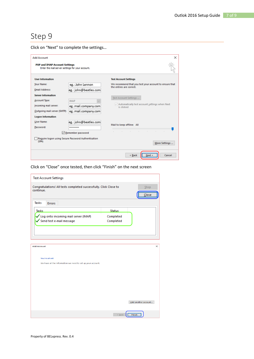Click on "Next" to complete the settings…

| <b>Add Account</b>                                                                       |                                                    | ×                                                                                                |
|------------------------------------------------------------------------------------------|----------------------------------------------------|--------------------------------------------------------------------------------------------------|
| <b>POP and IMAP Account Settings</b><br>Enter the mail server settings for your account. |                                                    |                                                                                                  |
| <b>User Information</b>                                                                  |                                                    | <b>Test Account Settings</b>                                                                     |
| Your Name:                                                                               | eg.: John Lennon                                   | We recommend that you test your account to ensure that<br>the entries are correct.               |
| <b>Email Address:</b>                                                                    | eg.: john@beatles.com                              |                                                                                                  |
| <b>Server Information</b>                                                                |                                                    | Test Account Settings                                                                            |
| Account Type:                                                                            | <b>IMAP</b>                                        |                                                                                                  |
| Incoming mail server:                                                                    | eg.:mail.company.com                               | Automatically test account settings when Next<br>is clicked.                                     |
| Outgoing mail server (SMTP):                                                             | eg.:mail.company.com                               |                                                                                                  |
| <b>Logon Information</b>                                                                 |                                                    |                                                                                                  |
| User Name:                                                                               | eg.: john@beatles.com                              |                                                                                                  |
| Password:                                                                                | *********                                          | Mail to keep offline: All                                                                        |
|                                                                                          | Remember password                                  | <b>COLLECTION</b><br><b>All Control</b><br><b>STATE</b><br>$\sim$<br><b>STATE</b><br>$\sim$<br>٠ |
| (SPA)                                                                                    | Reguire logon using Secure Password Authentication | More Settings                                                                                    |
|                                                                                          |                                                    | < Back<br>Next ><br>Cancel                                                                       |

Click on "Close" once tested, then click "Finish" on the next screen

|                    | <b>Test Account Settings</b>                                      |                        |                     |
|--------------------|-------------------------------------------------------------------|------------------------|---------------------|
| continue.          | Congratulations! All tests completed successfully. Click Close to |                        | Stop<br>Close       |
| Tasks              | <b>Errors</b>                                                     |                        |                     |
| <b>Tasks</b>       |                                                                   | <b>Status</b>          |                     |
|                    | Log onto incoming mail server (IMAP)<br>Send test e-mail message  | Completed<br>Completed |                     |
|                    |                                                                   |                        |                     |
|                    |                                                                   |                        |                     |
| <b>Add Account</b> |                                                                   |                        |                     |
|                    |                                                                   |                        |                     |
| You're all set!    |                                                                   |                        |                     |
|                    | We have all the information we need to set up your account.       |                        |                     |
|                    |                                                                   |                        |                     |
|                    |                                                                   |                        |                     |
|                    |                                                                   |                        |                     |
|                    |                                                                   |                        |                     |
|                    |                                                                   |                        |                     |
|                    |                                                                   |                        |                     |
|                    |                                                                   |                        | Add another account |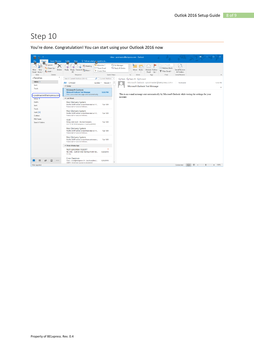You're done. Congratulation! You can start using your Outlook 2016 now